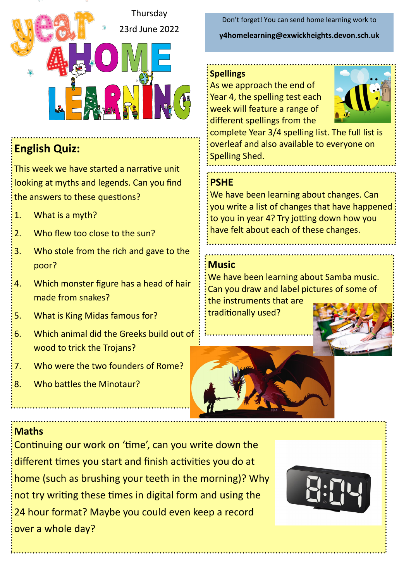

## **English Quiz:**

This week we have started a narrative unit looking at myths and legends. Can you find the answers to these questions?

- 1. What is a myth?
- 2. Who flew too close to the sun?
- 3. Who stole from the rich and gave to the poor?
- 4. Which monster figure has a head of hair made from snakes?
- 5. What is King Midas famous for?
- 6. Which animal did the Greeks build out of wood to trick the Trojans?
- 7. Who were the two founders of Rome?
- 8. Who battles the Minotaur?

Don't forget! You can send home learning work to **y4homelearning@exwickheights.devon.sch.uk**

#### **Spellings**

As we approach the end of Year 4, the spelling test each week will feature a range of different spellings from the



complete Year 3/4 spelling list. The full list is overleaf and also available to everyone on Spelling Shed.

#### **PSHE**

We have been learning about changes. Can you write a list of changes that have happened to you in year 4? Try jotting down how you have felt about each of these changes.

#### **Music**

We have been learning about Samba music. Can you draw and label pictures of some of the instruments that are

traditionally used?





### **Maths**

Continuing our work on 'time', can you write down the different times you start and finish activities you do at home (such as brushing your teeth in the morning)? Why not try writing these times in digital form and using the 24 hour format? Maybe you could even keep a record over a whole day?